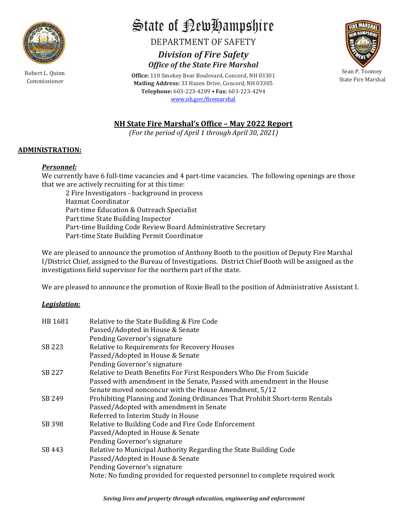

Robert L. Quinn

# State of RewHampshire

DEPARTMENT OF SAFETY

Commissioner Mailing Address: 33 Hazen Drive, Concord, NH 03305 **POSET AND AMPS AND SET ASSESSED AND ARREST AND ALL ACT AND ARREST V**<br>
Division of Fire Safety<br>
Fice of the State Fire Marshal<br>
Dismokey Bear Boulevard, Concord, NH 03301<br>
Mars: 33 Hazen Drive, Concord, NH 03305<br>
State Fi **ate of Aew Lampshire**<br>
DEPARTMENT OF SAFETY<br>
Division of Fire Safety<br>
Office of the State Fire Marshal<br>
110 Smokey Bear Boulevard, Concord, NH 03301<br>
lephone: 603-223-4289 • Fax: 603-223-4294<br>
www.nh.gov/firemarshal Office: 110 Smokey Bear Boulevard, Concord, NH 03301 State of **Petu Hampshire**<br>
DEPARTMENT OF SAFETY<br>
Division of Fire Safety<br>
Office of the State Fire Marshal<br>
Mailing Address: 33 Hazen Drive, Concord, NH 03301<br>
Telephone: 603-223-4289 • Fax: 603-223-4294<br>
www.nh.gov/firem Telephone: 603-223-4289 · Fax: 603-223-4294 www.nh.gov/firemarshal State of **Permitted Control of Active Control** Control of April 1 through April 30, 2021)<br>
NH State Fire Marshal<br>
NH State Fire Marshal<br>
NH State Fire Marshal's Office - May 2022 Report<br>
(For the period of April 1 through **State of Period Manufolic Control of April 1 through April 30, 2021)**<br>
Division of Fire Safety<br>
Office of the State Fire Marshal<br>
Office of the State Fire Marshal<br>
Telephone: 603-223-4289 + Fax: 603-223-4294<br>
Nature The



# ADMINISTRATION:

# Personnel:

We currently have 6 full-time vacancies and 4 part-time vacancies. The following openings are those that we are actively recruiting for at this time:

2 Fire Investigators - background in process Hazmat Coordinator Part-time Education & Outreach Specialist Part time State Building Inspector Part-time Building Code Review Board Administrative Secretary Part-time State Building Permit Coordinator

We are pleased to announce the promotion of Anthony Booth to the position of Deputy Fire Marshal I/District Chief, assigned to the Bureau of Investigations. District Chief Booth will be assigned as the investigations field supervisor for the northern part of the state.

We are pleased to announce the promotion of Roxie Beall to the position of Administrative Assistant I.

# Legislation:

| HB 1681 | Relative to the State Building & Fire Code                                  |
|---------|-----------------------------------------------------------------------------|
|         | Passed/Adopted in House & Senate                                            |
|         | Pending Governor's signature                                                |
| SB 223  | Relative to Requirements for Recovery Houses                                |
|         | Passed/Adopted in House & Senate                                            |
|         | Pending Governor's signature                                                |
| SB 227  | Relative to Death Benefits For First Responders Who Die From Suicide        |
|         | Passed with amendment in the Senate, Passed with amendment in the House     |
|         | Senate moved nonconcur with the House Amendment, 5/12                       |
| SB 249  | Prohibiting Planning and Zoning Ordinances That Prohibit Short-term Rentals |
|         | Passed/Adopted with amendment in Senate                                     |
|         | Referred to Interim Study in House                                          |
| SB 398  | Relative to Building Code and Fire Code Enforcement                         |
|         | Passed/Adopted in House & Senate                                            |
|         | Pending Governor's signature                                                |
| SB 443  | Relative to Municipal Authority Regarding the State Building Code           |
|         | Passed/Adopted in House & Senate                                            |
|         | Pending Governor's signature                                                |
|         | Note: No funding provided for requested personnel to complete required work |
|         |                                                                             |
|         | Saving lives and property through education, engineering and enforcement    |
|         |                                                                             |
|         |                                                                             |
|         |                                                                             |
|         |                                                                             |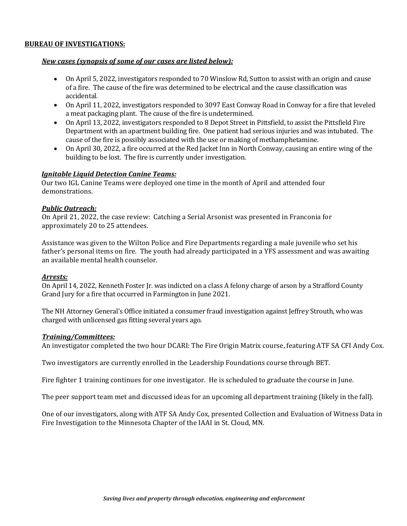- **BUREAU OF INVESTIGATIONS:**<br> **New cases (synopsis of some of our cases are listed below):**<br>
 On April 5, 2022, investigators responded to 70 Winslow Rd, Sutton to as<br>
of a fire. The cause of the fire was determined to be New cases (synopsis of some of our cases are listed below):<br>
New cases (synopsis of some of our cases are listed below):<br>
• On April 5, 2022, investigators responded to 70 Winslow Rd, Sutton to assist with an origin and ca On April 5, 2022, investigators responded to 70 Winslow Rd, Sutton to assist with an origin and cause of a fire. The cause of the fire was determined to be electrical and the cause classification was accidental.
	- On April 11, 2022, investigators responded to 3097 East Conway Road in Conway for a fire that leveled a meat packaging plant. The cause of the fire is undetermined.
	- On April 13, 2022, investigators responded to 8 Depot Street in Pittsfield, to assist the Pittsfield Fire Department with an apartment building fire. One patient had serious injuries and was intubated. The cause of the fire is possibly associated with the use or making of methamphetamine. **IGNU OF INVESTIGATIONS:**<br> **New cases (synopsis of some of our cases are listed below):**<br>
	• On April 5, 2022, investigators responded to 70 Winslow Rd, Sutton to assist with an origin and cause of a fire three. The cause **EXECUTE ATIONS:**<br> **New cases (synopsis of some of our cases are listed below):**<br> **•** On April 5, 2022, investigators responded to 70 Winslow Rd, Sutton to assist with an origin and cause<br>
	of a fire. The cause of the fire
		- On April 30, 2022, a fire occurred at the Red Jacket Inn in North Conway, causing an entire wing of the building to be lost. The fire is currently under investigation.

demonstrations.

approximately 20 to 25 attendees.

Assistance was given to the Wilton Police and Fire Departments regarding a male juvenile who set his father's personal items on fire. The youth had already participated in a YFS assessment and was awaiting an available mental health counselor.

### Arrests:

On April 14, 2022, Kenneth Foster Jr. was indicted on a class A felony charge of arson by a Strafford County Grand Jury for a fire that occurred in Farmington in June 2021.

The NH Attorney General's Office initiated a consumer fraud investigation against Jeffrey Strouth, who was charged with unlicensed gas fitting several years ago.

Training/Committees:<br>An investigator completed the two hour DCARI: The Fire Origin Matrix course, featuring ATF SA CFI Andy Cox.

Two investigators are currently enrolled in the Leadership Foundations course through BET.

Fire fighter 1 training continues for one investigator. He is scheduled to graduate the course in June.

The peer support team met and discussed ideas for an upcoming all department training (likely in the fall).

**EES:**<br>pleted the two hour DCARI: The Fire Origin Matrix course, featuring ATF SA CFI Andy Cox.<br>re currently enrolled in the Leadership Foundations course through BET.<br>g continues for one investigator. He is scheduled to g One of our investigators, along with ATF SA Andy Cox, presented Collection and Evaluation of Witness Data in Fire Investigation to the Minnesota Chapter of the IAAI in St. Cloud, MN.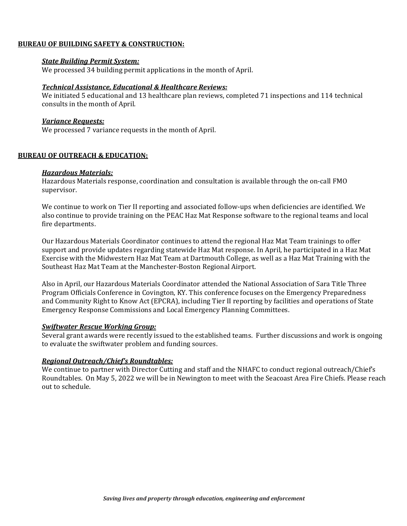**BUREAU OF BUILDING SAFETY & CONSTRUCTION:**<br> **State Building Permit System:**<br>
We processed 34 building permit applications in the month of April.<br> **Technical Assistance Educational & Healthcare Peviews:** We processed 34 building permit applications in the month of April.

U OF BUILDING SAFETY & CONSTRUCTION:<br>State Building Permit System:<br>We processed 34 building permit applications in the month of April.<br>Technical Assistance, Educational & Healthcare Reviews:<br>consults in the month of April U OF BUILDING SAFETY & CONSTRUCTION:<br>State Building Permit System:<br>We processed 34 building permit applications in the month of April.<br>Technical Assistance, Educational & Healthcare Reviews:<br>Ve initiated 5 educational and We initiated 5 educational and 13 healthcare plan reviews, completed 71 inspections and 114 technical consults in the month of April. U OF BUILDING SAFETY & CONSTRUCTION:<br>State Building Permit System:<br>We processed 34 building permit applications in the month of April.<br>Technical Assistance. Educational & Healthcare Reviews:<br>We initiated 5 educational and **BUREAU OF BUILDING SAFETY & CONSTRUCTION:**<br> **State Building Permit System:**<br>
We processed 34 building permit applications in the month of April.<br> **Technical Assistance, Educational & Healthcare Reviews:**<br>
We initiated 5 e **State Building Permit System:**<br> **State Building Permit System:**<br>
We processed 34 building permit applications in the month of April.<br> **Technical Assistance. Educational & Healthcare Reviews:**<br>
We initiated 5 educational a

We processed 7 variance requests in the month of April.

Hazardous Materials response, coordination and consultation is available through the on-call FMO supervisor.

We continue to work on Tier II reporting and associated follow-ups when deficiencies are identified. We also continue to provide training on the PEAC Haz Mat Response software to the regional teams and local fire departments.

Our Hazardous Materials Coordinator continues to attend the regional Haz Mat Team trainings to offer support and provide updates regarding statewide Haz Mat response. In April, he participated in a Haz Mat Exercise with the Midwestern Haz Mat Team at Dartmouth College, as well as a Haz Mat Training with the Southeast Haz Mat Team at the Manchester-Boston Regional Airport. **U OF OUTREACH & EDUCATION:**<br> **Hazardous Materials:**<br>
Hazardous Materials:<br>
supervisor.<br>
Supervisor.<br>
We continue to work on Tier II reporting and associated follow-ups when deficiencies are identified<br>
also continue to wo

Also in April, our Hazardous Materials Coordinator attended the National Association of Sara Title Three Program Officials Conference in Covington, KY. This conference focuses on the Emergency Preparedness and Community Right to Know Act (EPCRA), including Tier II reporting by facilities and operations of State Emergency Response Commissions and Local Emergency Planning Committees.

Several grant awards were recently issued to the established teams. Further discussions and work is ongoing to evaluate the swiftwater problem and funding sources.

### Regional Outreach/Chief's Roundtables:

*Working Group:*<br>Savier erecently issued to the established teams. Further discussions and work is ongoing<br>twater problem and funding sources.<br>*Chief's Roundtables:*<br>ner with Director Cutting and staff and the NHAFC to con We continue to partner with Director Cutting and staff and the NHAFC to conduct regional outreach/Chiefs Roundtables. On May 5, 2022 we will be in Newington to meet with the Seacoast Area Fire Chiefs. Please reach out to schedule.